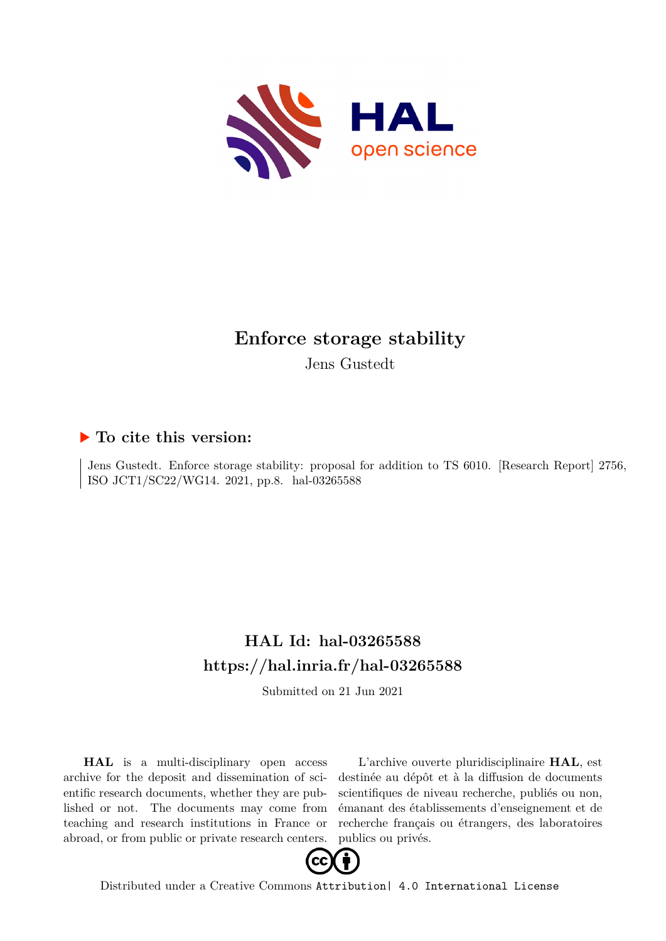

# **Enforce storage stability**

Jens Gustedt

## **To cite this version:**

Jens Gustedt. Enforce storage stability: proposal for addition to TS 6010. [Research Report] 2756, ISO JCT1/SC22/WG14. 2021, pp.8. hal-03265588

## **HAL Id: hal-03265588 <https://hal.inria.fr/hal-03265588>**

Submitted on 21 Jun 2021

**HAL** is a multi-disciplinary open access archive for the deposit and dissemination of scientific research documents, whether they are published or not. The documents may come from teaching and research institutions in France or abroad, or from public or private research centers.

L'archive ouverte pluridisciplinaire **HAL**, est destinée au dépôt et à la diffusion de documents scientifiques de niveau recherche, publiés ou non, émanant des établissements d'enseignement et de recherche français ou étrangers, des laboratoires publics ou privés.



Distributed under a Creative Commons [Attribution| 4.0 International License](http://creativecommons.org/licenses/by/4.0/)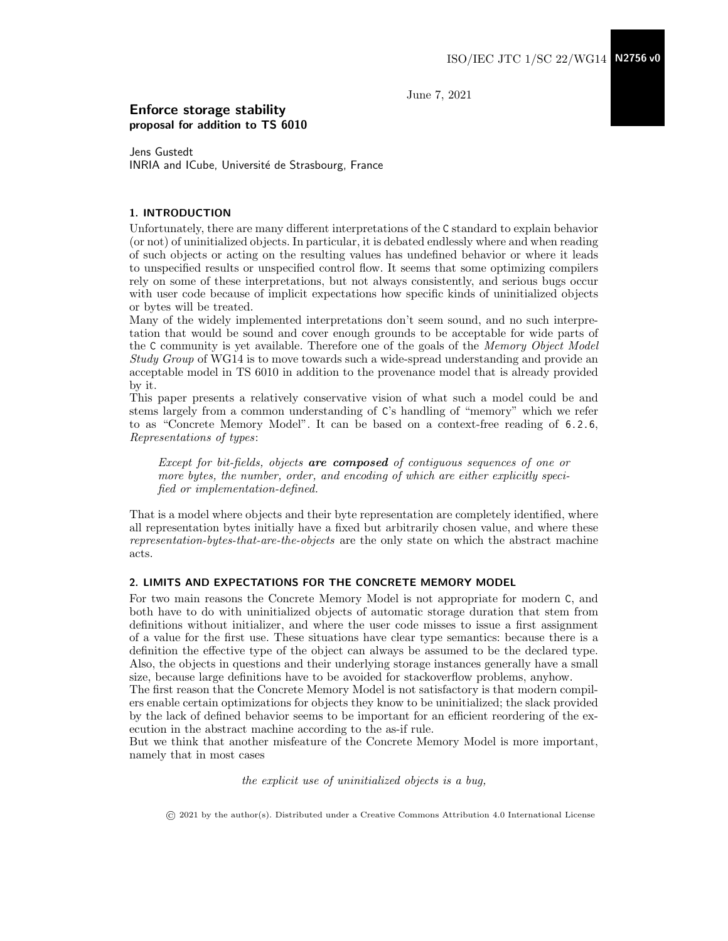June 7, 2021

### Enforce storage stability proposal for addition to TS 6010

Jens Gustedt INRIA and ICube, Université de Strasbourg, France

### 1. INTRODUCTION

Unfortunately, there are many different interpretations of the C standard to explain behavior (or not) of uninitialized objects. In particular, it is debated endlessly where and when reading of such objects or acting on the resulting values has undefined behavior or where it leads to unspecified results or unspecified control flow. It seems that some optimizing compilers rely on some of these interpretations, but not always consistently, and serious bugs occur with user code because of implicit expectations how specific kinds of uninitialized objects or bytes will be treated.

Many of the widely implemented interpretations don't seem sound, and no such interpretation that would be sound and cover enough grounds to be acceptable for wide parts of the C community is yet available. Therefore one of the goals of the Memory Object Model Study Group of WG14 is to move towards such a wide-spread understanding and provide an acceptable model in TS 6010 in addition to the provenance model that is already provided by it.

This paper presents a relatively conservative vision of what such a model could be and stems largely from a common understanding of C's handling of "memory" which we refer to as "Concrete Memory Model". It can be based on a context-free reading of 6.2.6, Representations of types:

Except for bit-fields, objects are composed of contiguous sequences of one or more bytes, the number, order, and encoding of which are either explicitly specified or implementation-defined.

That is a model where objects and their byte representation are completely identified, where all representation bytes initially have a fixed but arbitrarily chosen value, and where these representation-bytes-that-are-the-objects are the only state on which the abstract machine acts.

#### 2. LIMITS AND EXPECTATIONS FOR THE CONCRETE MEMORY MODEL

For two main reasons the Concrete Memory Model is not appropriate for modern C, and both have to do with uninitialized objects of automatic storage duration that stem from definitions without initializer, and where the user code misses to issue a first assignment of a value for the first use. These situations have clear type semantics: because there is a definition the effective type of the object can always be assumed to be the declared type. Also, the objects in questions and their underlying storage instances generally have a small size, because large definitions have to be avoided for stackoverflow problems, anyhow.

The first reason that the Concrete Memory Model is not satisfactory is that modern compilers enable certain optimizations for objects they know to be uninitialized; the slack provided by the lack of defined behavior seems to be important for an efficient reordering of the execution in the abstract machine according to the as-if rule.

But we think that another misfeature of the Concrete Memory Model is more important, namely that in most cases

the explicit use of uninitialized objects is a bug,

© 2021 by the author(s). Distributed under a Creative Commons Attribution 4.0 International License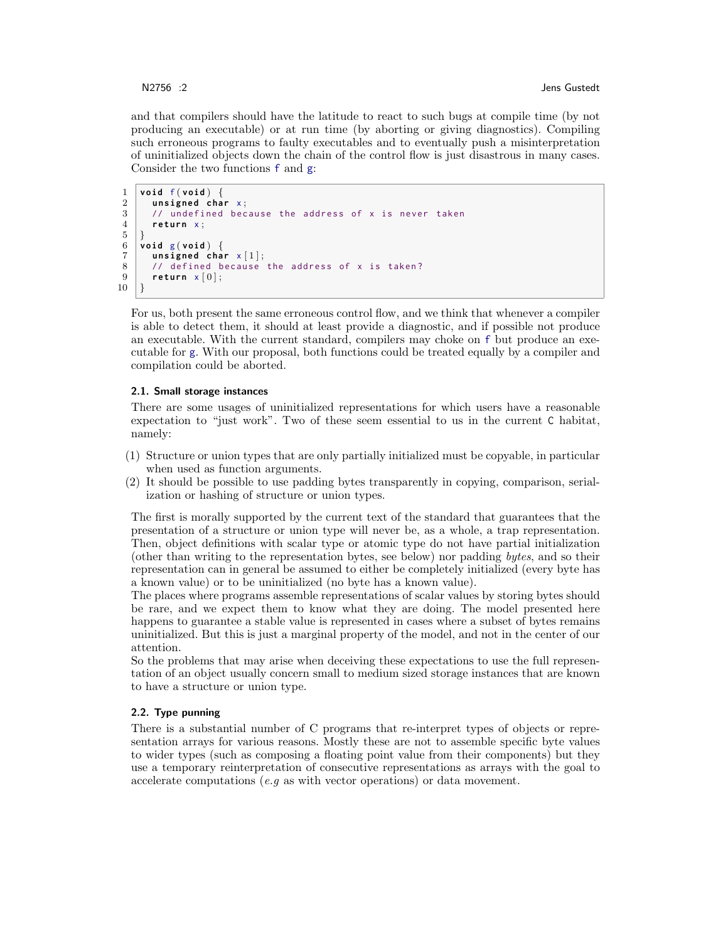and that compilers should have the latitude to react to such bugs at compile time (by not producing an executable) or at run time (by aborting or giving diagnostics). Compiling such erroneous programs to faulty executables and to eventually push a misinterpretation of uninitialized objects down the chain of the control flow is just disastrous in many cases. Consider the two functions f and g:

```
\frac{1}{2} void f (void) \left\{\begin{array}{c} 1 \\ 2 \end{array}\right\}2 unsigned char x;<br>3 // undefined bec
         1/ undefined because the address of x is never taken
 4 return x;
 5 \vert \}6 v o i d g ( v o i d ) {
 \begin{array}{c|c} 7 & \text{unsigned char } \times [1]; \\ 8 & \text{// defined because} \end{array}// defined because the address of x is taken?
 9 return x [0];10 |}
```
For us, both present the same erroneous control flow, and we think that whenever a compiler is able to detect them, it should at least provide a diagnostic, and if possible not produce an executable. With the current standard, compilers may choke on f but produce an executable for g. With our proposal, both functions could be treated equally by a compiler and compilation could be aborted.

#### 2.1. Small storage instances

There are some usages of uninitialized representations for which users have a reasonable expectation to "just work". Two of these seem essential to us in the current C habitat, namely:

- (1) Structure or union types that are only partially initialized must be copyable, in particular when used as function arguments.
- (2) It should be possible to use padding bytes transparently in copying, comparison, serialization or hashing of structure or union types.

The first is morally supported by the current text of the standard that guarantees that the presentation of a structure or union type will never be, as a whole, a trap representation. Then, object definitions with scalar type or atomic type do not have partial initialization (other than writing to the representation bytes, see below) nor padding bytes, and so their representation can in general be assumed to either be completely initialized (every byte has a known value) or to be uninitialized (no byte has a known value).

The places where programs assemble representations of scalar values by storing bytes should be rare, and we expect them to know what they are doing. The model presented here happens to guarantee a stable value is represented in cases where a subset of bytes remains uninitialized. But this is just a marginal property of the model, and not in the center of our attention.

So the problems that may arise when deceiving these expectations to use the full representation of an object usually concern small to medium sized storage instances that are known to have a structure or union type.

#### 2.2. Type punning

There is a substantial number of C programs that re-interpret types of objects or representation arrays for various reasons. Mostly these are not to assemble specific byte values to wider types (such as composing a floating point value from their components) but they use a temporary reinterpretation of consecutive representations as arrays with the goal to accelerate computations (*e.g* as with vector operations) or data movement.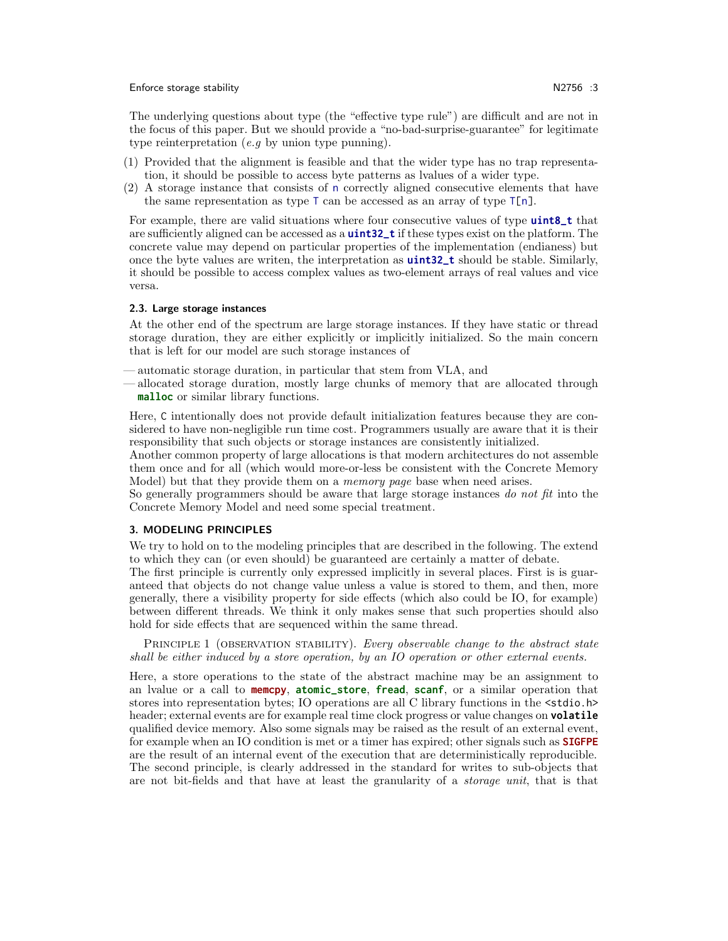#### Enforce storage stability N2756 :3

The underlying questions about type (the "effective type rule") are difficult and are not in the focus of this paper. But we should provide a "no-bad-surprise-guarantee" for legitimate type reinterpretation  $(e.g.)$  by union type punning).

- (1) Provided that the alignment is feasible and that the wider type has no trap representation, it should be possible to access byte patterns as lvalues of a wider type.
- (2) A storage instance that consists of n correctly aligned consecutive elements that have the same representation as type  $\top$  can be accessed as an array of type  $\top$ [n].

For example, there are valid situations where four consecutive values of type **uint8\_t** that are sufficiently aligned can be accessed as a **uint32\_t** if these types exist on the platform. The concrete value may depend on particular properties of the implementation (endianess) but once the byte values are writen, the interpretation as **uint32\_t** should be stable. Similarly, it should be possible to access complex values as two-element arrays of real values and vice versa.

#### 2.3. Large storage instances

At the other end of the spectrum are large storage instances. If they have static or thread storage duration, they are either explicitly or implicitly initialized. So the main concern that is left for our model are such storage instances of

— automatic storage duration, in particular that stem from VLA, and

— allocated storage duration, mostly large chunks of memory that are allocated through **malloc** or similar library functions.

Here, C intentionally does not provide default initialization features because they are considered to have non-negligible run time cost. Programmers usually are aware that it is their responsibility that such objects or storage instances are consistently initialized.

Another common property of large allocations is that modern architectures do not assemble them once and for all (which would more-or-less be consistent with the Concrete Memory Model) but that they provide them on a memory page base when need arises.

So generally programmers should be aware that large storage instances do not fit into the Concrete Memory Model and need some special treatment.

#### 3. MODELING PRINCIPLES

We try to hold on to the modeling principles that are described in the following. The extend to which they can (or even should) be guaranteed are certainly a matter of debate.

The first principle is currently only expressed implicitly in several places. First is is guaranteed that objects do not change value unless a value is stored to them, and then, more generally, there a visibility property for side effects (which also could be IO, for example) between different threads. We think it only makes sense that such properties should also hold for side effects that are sequenced within the same thread.

PRINCIPLE 1 (OBSERVATION STABILITY). Every observable change to the abstract state shall be either induced by a store operation, by an IO operation or other external events.

Here, a store operations to the state of the abstract machine may be an assignment to an lvalue or a call to **memcpy**, **atomic\_store**, **fread**, **scanf**, or a similar operation that stores into representation bytes; IO operations are all C library functions in the  $\leq$ stdio.h> header; external events are for example real time clock progress or value changes on **volatile** qualified device memory. Also some signals may be raised as the result of an external event, for example when an IO condition is met or a timer has expired; other signals such as **SIGFPE** are the result of an internal event of the execution that are deterministically reproducible. The second principle, is clearly addressed in the standard for writes to sub-objects that are not bit-fields and that have at least the granularity of a storage unit, that is that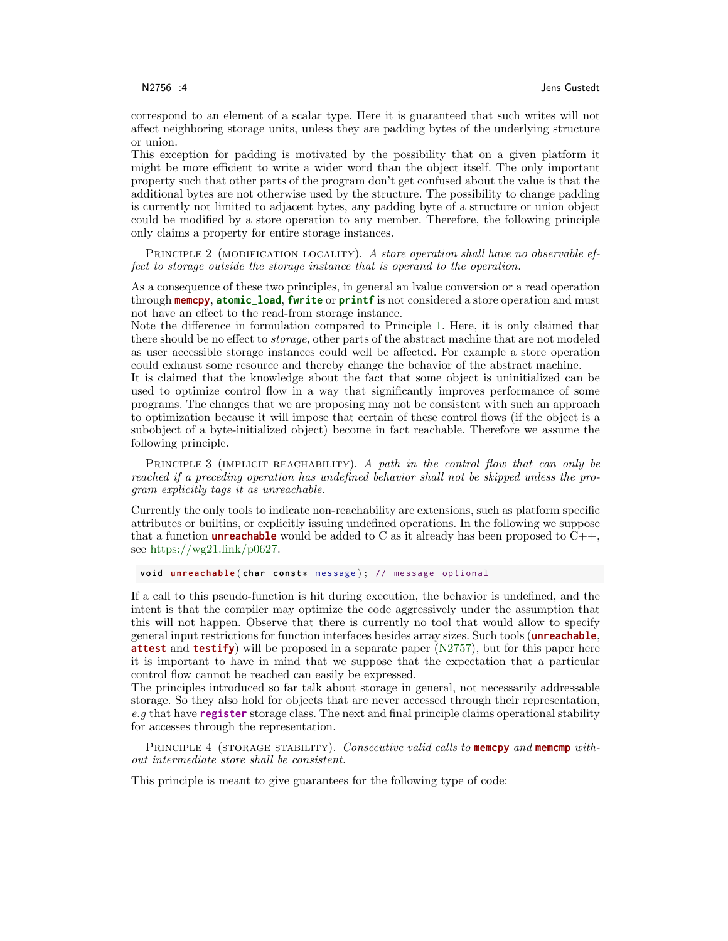correspond to an element of a scalar type. Here it is guaranteed that such writes will not affect neighboring storage units, unless they are padding bytes of the underlying structure or union.

This exception for padding is motivated by the possibility that on a given platform it might be more efficient to write a wider word than the object itself. The only important property such that other parts of the program don't get confused about the value is that the additional bytes are not otherwise used by the structure. The possibility to change padding is currently not limited to adjacent bytes, any padding byte of a structure or union object could be modified by a store operation to any member. Therefore, the following principle only claims a property for entire storage instances.

PRINCIPLE 2 (MODIFICATION LOCALITY). A store operation shall have no observable effect to storage outside the storage instance that is operand to the operation.

As a consequence of these two principles, in general an lvalue conversion or a read operation through **memcpy**, **atomic\_load**, **fwrite** or **printf** is not considered a store operation and must not have an effect to the read-from storage instance.

Note the difference in formulation compared to Principle 1. Here, it is only claimed that there should be no effect to storage, other parts of the abstract machine that are not modeled as user accessible storage instances could well be affected. For example a store operation could exhaust some resource and thereby change the behavior of the abstract machine.

It is claimed that the knowledge about the fact that some object is uninitialized can be used to optimize control flow in a way that significantly improves performance of some programs. The changes that we are proposing may not be consistent with such an approach to optimization because it will impose that certain of these control flows (if the object is a subobject of a byte-initialized object) become in fact reachable. Therefore we assume the following principle.

PRINCIPLE 3 (IMPLICIT REACHABILITY). A path in the control flow that can only be reached if a preceding operation has undefined behavior shall not be skipped unless the program explicitly tags it as unreachable.

Currently the only tools to indicate non-reachability are extensions, such as platform specific attributes or builtins, or explicitly issuing undefined operations. In the following we suppose that a function **unreachable** would be added to C as it already has been proposed to  $C++$ , see [https://wg21.link/p0627.](https://wg21.link/p0627)

**void unreachable (char const**\* message); // message optional

If a call to this pseudo-function is hit during execution, the behavior is undefined, and the intent is that the compiler may optimize the code aggressively under the assumption that this will not happen. Observe that there is currently no tool that would allow to specify general input restrictions for function interfaces besides array sizes. Such tools (**unreachable**, **attest** and **testify**) will be proposed in a separate paper [\(N2757\)](http://www.open-std.org/jtc1/sc22/wg14/www/docs/n2757.pdf), but for this paper here it is important to have in mind that we suppose that the expectation that a particular control flow cannot be reached can easily be expressed.

The principles introduced so far talk about storage in general, not necessarily addressable storage. So they also hold for objects that are never accessed through their representation, e.g that have **register** storage class. The next and final principle claims operational stability for accesses through the representation.

Principle 4 (storage stability). Consecutive valid calls to **memcpy** and **memcmp** without intermediate store shall be consistent.

This principle is meant to give guarantees for the following type of code: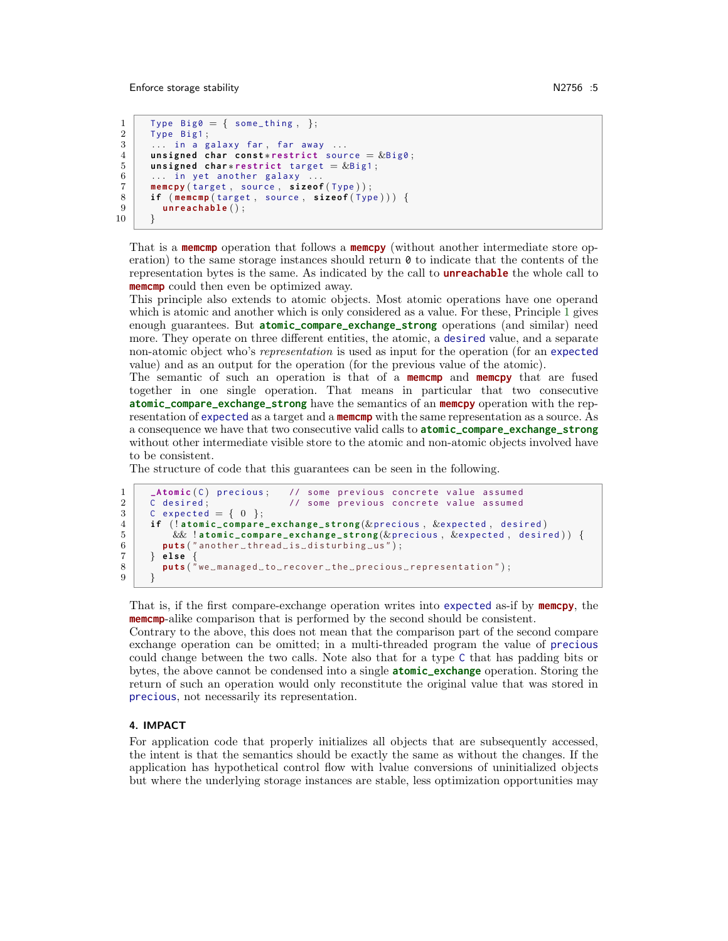```
1 | Type Big0 = \{ some_thing, };
\begin{array}{c|c} 2 & \text{Type } Big1\text{;}\\ 3 & \dots & \text{in } a\text{ g} \end{array}\ldots in a galaxy far, far away \ldots4 unsigned char const*restrict source = \&Big0;
5 unsigned char*restrict target = &Big1;<br>6 ... in yet another galaxy ...
        ... in yet another galaxy ..
7 memcpy (target, source, sizeof (Type));<br>8 if (memcmp(target, source, sizeof (Typ
8 if (memcmp(target, source, sizeof(Type))) {<br>9 unreachable():
           unreachable ();
```

```
10
```
That is a **memcmp** operation that follows a **memcpy** (without another intermediate store operation) to the same storage instances should return  $\theta$  to indicate that the contents of the representation bytes is the same. As indicated by the call to **unreachable** the whole call to **memcmp** could then even be optimized away.

This principle also extends to atomic objects. Most atomic operations have one operand which is atomic and another which is only considered as a value. For these, Principle 1 gives enough guarantees. But **atomic\_compare\_exchange\_strong** operations (and similar) need more. They operate on three different entities, the atomic, a desired value, and a separate non-atomic object who's representation is used as input for the operation (for an expected value) and as an output for the operation (for the previous value of the atomic).

The semantic of such an operation is that of a **memcmp** and **memcpy** that are fused together in one single operation. That means in particular that two consecutive **atomic\_compare\_exchange\_strong** have the semantics of an **memcpy** operation with the representation of expected as a target and a **memcmp** with the same representation as a source. As a consequence we have that two consecutive valid calls to **atomic\_compare\_exchange\_strong** without other intermediate visible store to the atomic and non-atomic objects involved have to be consistent.

The structure of code that this guarantees can be seen in the following.

```
1 _Atomic (C) precious; // some previous concrete value assumed<br>2 C desired: // some previous concrete value assumed
       C desired; \frac{1}{2} // some previous concrete value assumed
\begin{array}{c|c} 3 & C \text{ expected} = \{ 0 \} ; \ \hline 4 & \text{if } (!atomic\_compare) \end{array}if ( ! atomic_compare_exchange_strong (&precious, &expected, desired)
5 | \&\& !atomic_compare_exchange_strong(\&precious, \&expected, desired)) {
6 puts ("another_thread_is_disturbing_us");
7 } e l s e {
8 p u t s ( " we ␣ m a n a g e d ␣ to ␣ r e c o v e r ␣ t h e ␣ p r e c i o u s ␣ r e p r e s e n t a t i o n " ) ;
9 }
```
That is, if the first compare-exchange operation writes into expected as-if by **memcpy**, the **memcmp**-alike comparison that is performed by the second should be consistent.

Contrary to the above, this does not mean that the comparison part of the second compare exchange operation can be omitted; in a multi-threaded program the value of precious could change between the two calls. Note also that for a type C that has padding bits or bytes, the above cannot be condensed into a single **atomic\_exchange** operation. Storing the return of such an operation would only reconstitute the original value that was stored in precious, not necessarily its representation.

#### 4. IMPACT

For application code that properly initializes all objects that are subsequently accessed, the intent is that the semantics should be exactly the same as without the changes. If the application has hypothetical control flow with lvalue conversions of uninitialized objects but where the underlying storage instances are stable, less optimization opportunities may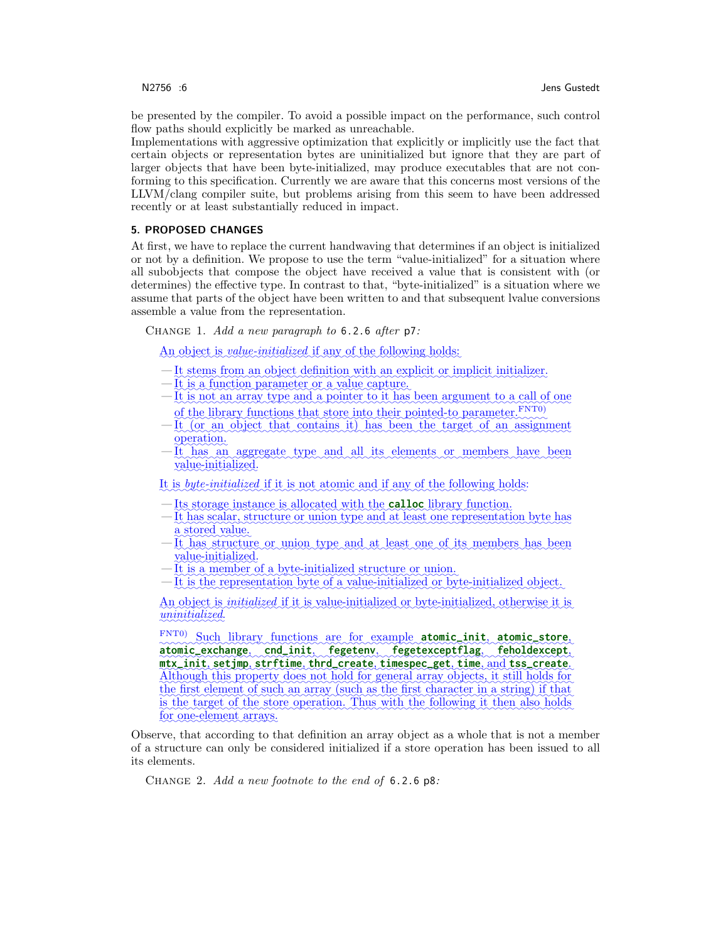be presented by the compiler. To avoid a possible impact on the performance, such control flow paths should explicitly be marked as unreachable.

Implementations with aggressive optimization that explicitly or implicitly use the fact that certain objects or representation bytes are uninitialized but ignore that they are part of larger objects that have been byte-initialized, may produce executables that are not conforming to this specification. Currently we are aware that this concerns most versions of the LLVM/clang compiler suite, but problems arising from this seem to have been addressed recently or at least substantially reduced in impact.

#### 5. PROPOSED CHANGES

At first, we have to replace the current handwaving that determines if an object is initialized or not by a definition. We propose to use the term "value-initialized" for a situation where all subobjects that compose the object have received a value that is consistent with (or determines) the effective type. In contrast to that, "byte-initialized" is a situation where we assume that parts of the object have been written to and that subsequent lvalue conversions assemble a value from the representation.

CHANGE 1. Add a new paragraph to  $6.2.6$  after  $p7$ :

An object is *value-initialized* if any of the following holds:

- It stems from an object definition with an explicit or implicit initializer.
- It is a function parameter or a value capture.
- —It is not an array type and a pointer to it has been argument to a call of one of the library functions that store into their pointed-to parameter. FNT0)
- —It (or an object that contains it) has been the target of an assignment operation.
- —It has an aggregate type and all its elements or members have been value-initialized.

It is *byte-initialized* if it is not atomic and if any of the following holds:

- Its storage instance is allocated with the **calloc** library function.
- It has scalar, structure or union type and at least one representation byte has a stored value.
- —It has structure or union type and at least one of its members has been value-initialized.
- It is a member of a byte-initialized structure or union.
- —It is the representation byte of a value-initialized or byte-initialized object.

An object is *initialized* if it is value-initialized or byte-initialized, otherwise it is uninitialized.

FNT0) Such library functions are for example atomic init, atomic store, ✿✿✿✿✿✿✿✿✿✿✿✿✿✿✿✿ **atomic\_exchange**, ✿✿✿✿✿✿✿✿✿✿ **cnd\_init**,✿✿✿✿✿✿✿✿✿✿✿ **fegetenv**,✿✿✿✿✿✿✿✿✿✿✿✿✿✿✿✿✿✿ **fegetexceptflag**,✿✿✿✿✿✿✿✿✿✿✿✿✿✿✿ **feholdexcept**,  $\Delta$ lthough this property does not hold for general array objects, it still holds for **mtx\_init**, ✿✿✿✿✿✿✿ **setjmp**, ✿✿✿✿✿✿✿✿✿ **strftime**, ✿✿✿✿✿✿✿✿✿✿✿✿ **thrd\_create**, ✿✿✿✿✿✿✿✿✿✿✿✿✿ **timespec\_get**, ✿✿✿✿✿ **time**, ✿✿✿✿ and ✿✿✿✿✿✿✿✿✿✿✿ **tss\_create**. ✿✿✿ the first element of such an array (such as the first character in a string) if that is the target of the store operation. Thus with the following it then also holds for one-element arrays.

Observe, that according to that definition an array object as a whole that is not a member of a structure can only be considered initialized if a store operation has been issued to all its elements.

Change 2. Add a new footnote to the end of 6.2.6 p8: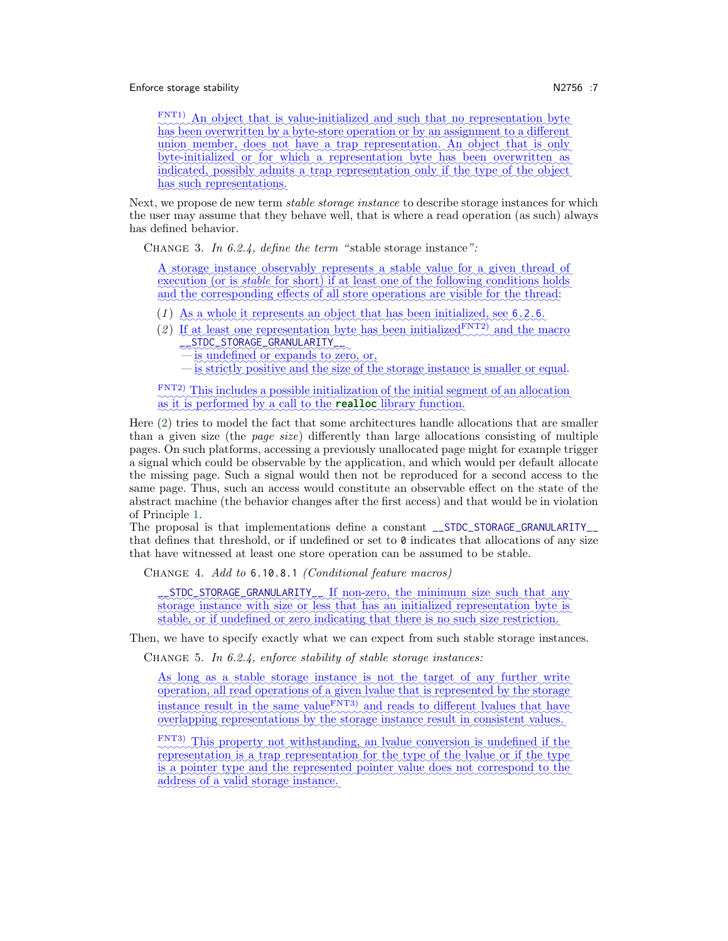#### Enforce storage stability N2756 :7

FNT1) An object that is value-initialized and such that no representation byte has been overwritten by a byte-store operation or by an assignment to a different union member, does not have a trap representation. An object that is only ✿✿✿✿✿✿✿✿✿✿✿✿✿ byte-initialized or for which a representation byte has been overwritten as indicated, possibly admits a trap representation only if the type of the object has such representations.

Next, we propose de new term *stable storage instance* to describe storage instances for which the user may assume that they behave well, that is where a read operation (as such) always has defined behavior.

CHANGE 3. In 6.2.4, define the term "stable storage instance":

A storage instance observably represents a stable value for a given thread of ✿✿✿✿✿✿✿✿ execution (or is *stable* for short) if at least one of the following conditions holds and the corresponding effects of all store operations are visible for the thread:

- (1) As a whole it represents an object that has been initialized, see 6.2.6.
- (2) If at least one representation byte has been initialized  $F<sup>NT2</sup>$  and the macro \_\_STDC\_STORAGE\_GRANULARITY\_\_
	- is undefined or expands to zero, or,
	- is strictly positive and the size of the storage instance is smaller or equal.

FNT2) This includes a possible initialization of the initial segment of an allocation as it is performed by a call to the **realloc** library function.

Here (2) tries to model the fact that some architectures handle allocations that are smaller than a given size (the page size) differently than large allocations consisting of multiple pages. On such platforms, accessing a previously unallocated page might for example trigger a signal which could be observable by the application, and which would per default allocate the missing page. Such a signal would then not be reproduced for a second access to the same page. Thus, such an access would constitute an observable effect on the state of the abstract machine (the behavior changes after the first access) and that would be in violation of Principle 1.

The proposal is that implementations define a constant \_\_STDC\_STORAGE\_GRANULARITY\_\_ that defines that threshold, or if undefined or set to  $\theta$  indicates that allocations of any size that have witnessed at least one store operation can be assumed to be stable.

Change 4. Add to 6.10.8.1 (Conditional feature macros)

such that any strong strong minimum size such that any storage instance with size or less that has an initialized representation byte is stable, or if undefined or zero indicating that there is no such size restriction.

Then, we have to specify exactly what we can expect from such stable storage instances.

CHANGE 5. In 6.2.4, enforce stability of stable storage instances:

As long as a stable storage instance is not the target of any further write operation, all read operations of a given lyalue that is represented by the storage www.management.com instance result in the same value<sup>FNT3</sup>) and reads to different lyalues that have overlapping representations by the storage instance result in consistent values.

FNT3) This property not withstanding, an lyalue conversion is undefined if the representation is a trap representation for the type of the lyalue or if the type is a pointer type and the represented pointer value does not correspond to the address of a valid storage instance.